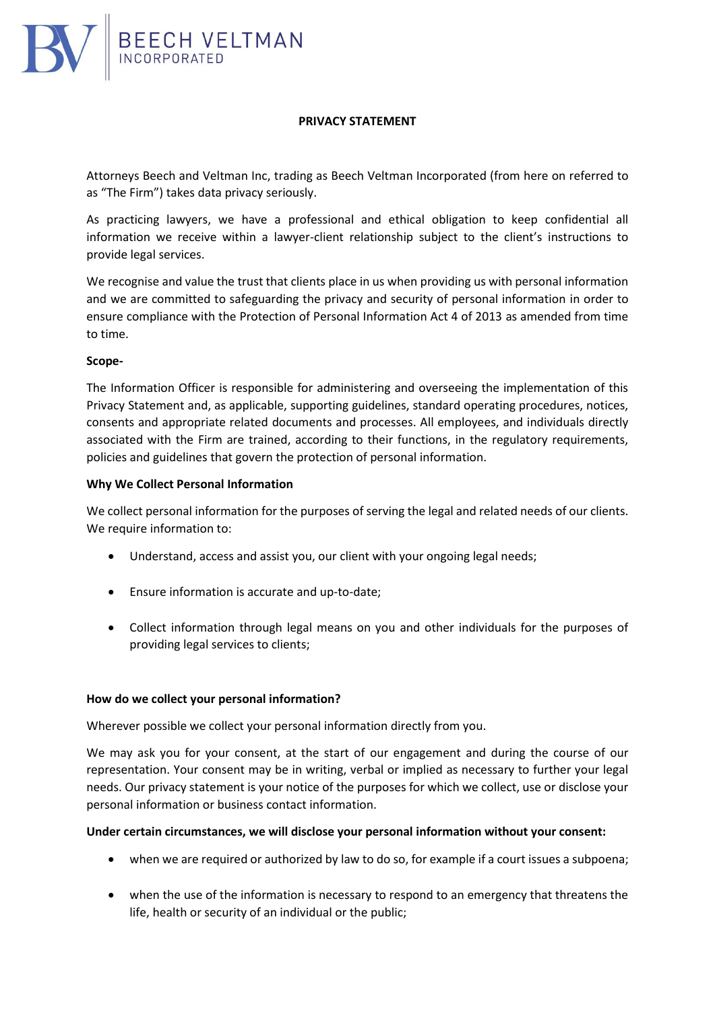

## **PRIVACY STATEMENT**

Attorneys Beech and Veltman Inc, trading as Beech Veltman Incorporated (from here on referred to as "The Firm") takes data privacy seriously.

As practicing lawyers, we have a professional and ethical obligation to keep confidential all information we receive within a lawyer-client relationship subject to the client's instructions to provide legal services.

We recognise and value the trust that clients place in us when providing us with personal information and we are committed to safeguarding the privacy and security of personal information in order to ensure compliance with the Protection of Personal Information Act 4 of 2013 as amended from time to time.

### **Scope-**

The Information Officer is responsible for administering and overseeing the implementation of this Privacy Statement and, as applicable, supporting guidelines, standard operating procedures, notices, consents and appropriate related documents and processes. All employees, and individuals directly associated with the Firm are trained, according to their functions, in the regulatory requirements, policies and guidelines that govern the protection of personal information.

### **Why We Collect Personal Information**

We collect personal information for the purposes of serving the legal and related needs of our clients. We require information to:

- Understand, access and assist you, our client with your ongoing legal needs;
- Ensure information is accurate and up-to-date;
- Collect information through legal means on you and other individuals for the purposes of providing legal services to clients;

### **How do we collect your personal information?**

Wherever possible we collect your personal information directly from you.

We may ask you for your consent, at the start of our engagement and during the course of our representation. Your consent may be in writing, verbal or implied as necessary to further your legal needs. Our privacy statement is your notice of the purposes for which we collect, use or disclose your personal information or business contact information.

### **Under certain circumstances, we will disclose your personal information without your consent:**

- when we are required or authorized by law to do so, for example if a court issues a subpoena;
- when the use of the information is necessary to respond to an emergency that threatens the life, health or security of an individual or the public;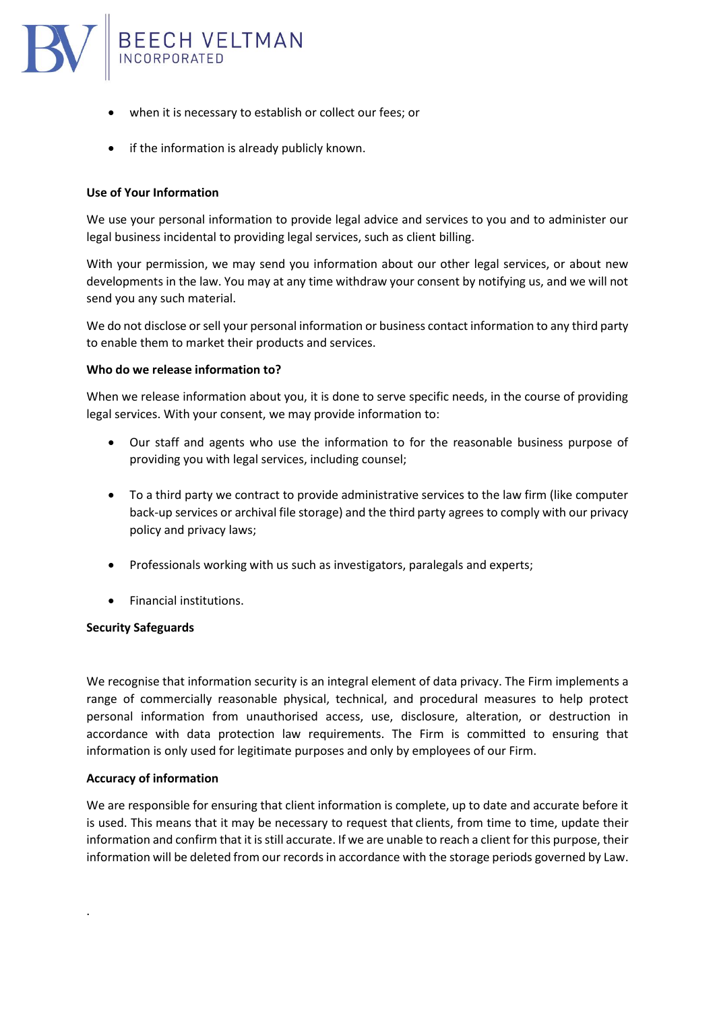

- when it is necessary to establish or collect our fees; or
- if the information is already publicly known.

# **Use of Your Information**

We use your personal information to provide legal advice and services to you and to administer our legal business incidental to providing legal services, such as client billing.

With your permission, we may send you information about our other legal services, or about new developments in the law. You may at any time withdraw your consent by notifying us, and we will not send you any such material.

We do not disclose or sell your personal information or business contact information to any third party to enable them to market their products and services.

### **Who do we release information to?**

When we release information about you, it is done to serve specific needs, in the course of providing legal services. With your consent, we may provide information to:

- Our staff and agents who use the information to for the reasonable business purpose of providing you with legal services, including counsel;
- To a third party we contract to provide administrative services to the law firm (like computer back-up services or archival file storage) and the third party agrees to comply with our privacy policy and privacy laws;
- Professionals working with us such as investigators, paralegals and experts;
- Financial institutions.

### **Security Safeguards**

We recognise that information security is an integral element of data privacy. The Firm implements a range of commercially reasonable physical, technical, and procedural measures to help protect personal information from unauthorised access, use, disclosure, alteration, or destruction in accordance with data protection law requirements. The Firm is committed to ensuring that information is only used for legitimate purposes and only by employees of our Firm.

### **Accuracy of information**

.

We are responsible for ensuring that client information is complete, up to date and accurate before it is used. This means that it may be necessary to request that clients, from time to time, update their information and confirm that it is still accurate. If we are unable to reach a client for this purpose, their information will be deleted from our records in accordance with the storage periods governed by Law.